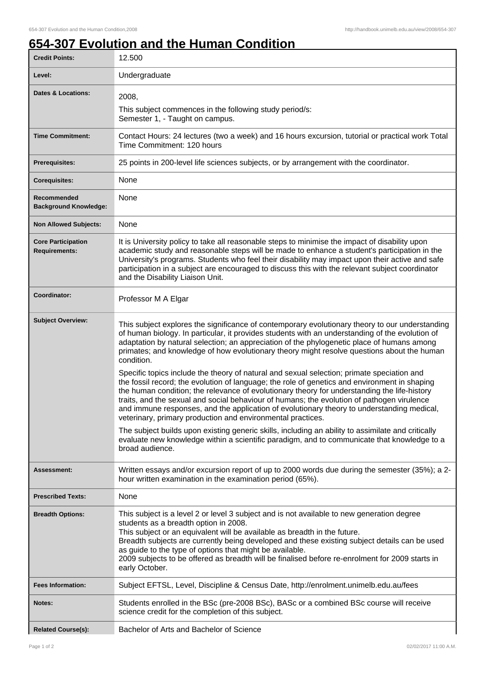## **654-307 Evolution and the Human Condition**

| <b>Credit Points:</b>                             | 12.500                                                                                                                                                                                                                                                                                                                                                                                                                                                                                                                                                 |
|---------------------------------------------------|--------------------------------------------------------------------------------------------------------------------------------------------------------------------------------------------------------------------------------------------------------------------------------------------------------------------------------------------------------------------------------------------------------------------------------------------------------------------------------------------------------------------------------------------------------|
| Level:                                            | Undergraduate                                                                                                                                                                                                                                                                                                                                                                                                                                                                                                                                          |
| <b>Dates &amp; Locations:</b>                     | 2008.                                                                                                                                                                                                                                                                                                                                                                                                                                                                                                                                                  |
|                                                   | This subject commences in the following study period/s:<br>Semester 1, - Taught on campus.                                                                                                                                                                                                                                                                                                                                                                                                                                                             |
| <b>Time Commitment:</b>                           | Contact Hours: 24 lectures (two a week) and 16 hours excursion, tutorial or practical work Total<br>Time Commitment: 120 hours                                                                                                                                                                                                                                                                                                                                                                                                                         |
| <b>Prerequisites:</b>                             | 25 points in 200-level life sciences subjects, or by arrangement with the coordinator.                                                                                                                                                                                                                                                                                                                                                                                                                                                                 |
| <b>Corequisites:</b>                              | None                                                                                                                                                                                                                                                                                                                                                                                                                                                                                                                                                   |
| Recommended<br><b>Background Knowledge:</b>       | None                                                                                                                                                                                                                                                                                                                                                                                                                                                                                                                                                   |
| <b>Non Allowed Subjects:</b>                      | None                                                                                                                                                                                                                                                                                                                                                                                                                                                                                                                                                   |
| <b>Core Participation</b><br><b>Requirements:</b> | It is University policy to take all reasonable steps to minimise the impact of disability upon<br>academic study and reasonable steps will be made to enhance a student's participation in the<br>University's programs. Students who feel their disability may impact upon their active and safe<br>participation in a subject are encouraged to discuss this with the relevant subject coordinator<br>and the Disability Liaison Unit.                                                                                                               |
| Coordinator:                                      | Professor M A Elgar                                                                                                                                                                                                                                                                                                                                                                                                                                                                                                                                    |
| <b>Subject Overview:</b>                          | This subject explores the significance of contemporary evolutionary theory to our understanding<br>of human biology. In particular, it provides students with an understanding of the evolution of<br>adaptation by natural selection; an appreciation of the phylogenetic place of humans among<br>primates; and knowledge of how evolutionary theory might resolve questions about the human<br>condition.                                                                                                                                           |
|                                                   | Specific topics include the theory of natural and sexual selection; primate speciation and<br>the fossil record; the evolution of language; the role of genetics and environment in shaping<br>the human condition; the relevance of evolutionary theory for understanding the life-history<br>traits, and the sexual and social behaviour of humans; the evolution of pathogen virulence<br>and immune responses, and the application of evolutionary theory to understanding medical,<br>veterinary, primary production and environmental practices. |
|                                                   | The subject builds upon existing generic skills, including an ability to assimilate and critically<br>evaluate new knowledge within a scientific paradigm, and to communicate that knowledge to a<br>broad audience.                                                                                                                                                                                                                                                                                                                                   |
| Assessment:                                       | Written essays and/or excursion report of up to 2000 words due during the semester (35%); a 2-<br>hour written examination in the examination period (65%).                                                                                                                                                                                                                                                                                                                                                                                            |
| <b>Prescribed Texts:</b>                          | None                                                                                                                                                                                                                                                                                                                                                                                                                                                                                                                                                   |
| <b>Breadth Options:</b>                           | This subject is a level 2 or level 3 subject and is not available to new generation degree<br>students as a breadth option in 2008.<br>This subject or an equivalent will be available as breadth in the future.<br>Breadth subjects are currently being developed and these existing subject details can be used<br>as guide to the type of options that might be available.<br>2009 subjects to be offered as breadth will be finalised before re-enrolment for 2009 starts in<br>early October.                                                     |
| <b>Fees Information:</b>                          | Subject EFTSL, Level, Discipline & Census Date, http://enrolment.unimelb.edu.au/fees                                                                                                                                                                                                                                                                                                                                                                                                                                                                   |
| Notes:                                            | Students enrolled in the BSc (pre-2008 BSc), BASc or a combined BSc course will receive<br>science credit for the completion of this subject.                                                                                                                                                                                                                                                                                                                                                                                                          |
| <b>Related Course(s):</b>                         | Bachelor of Arts and Bachelor of Science                                                                                                                                                                                                                                                                                                                                                                                                                                                                                                               |